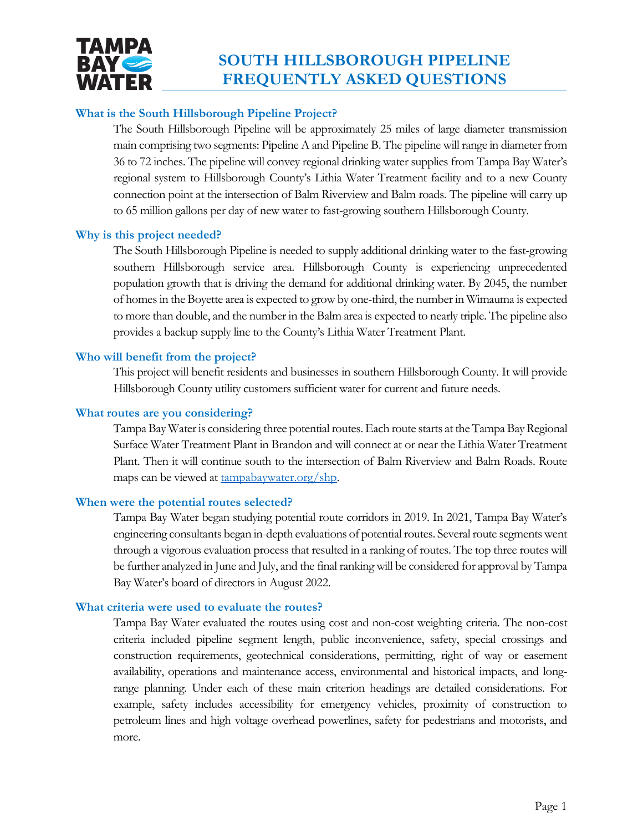

# **SOUTH HILLSBOROUGH PIPELINE FREQUENTLY ASKED QUESTIONS**

# **What is the South Hillsborough Pipeline Project?**

The South Hillsborough Pipeline will be approximately 25 miles of large diameter transmission main comprising two segments: Pipeline A and Pipeline B. The pipeline will range in diameter from 36 to 72 inches. The pipeline will convey regional drinking water supplies from Tampa Bay Water's regional system to Hillsborough County's Lithia Water Treatment facility and to a new County connection point at the intersection of Balm Riverview and Balm roads. The pipeline will carry up to 65 million gallons per day of new water to fast-growing southern Hillsborough County.

## **Why is this project needed?**

The South Hillsborough Pipeline is needed to supply additional drinking water to the fast-growing southern Hillsborough service area. Hillsborough County is experiencing unprecedented population growth that is driving the demand for additional drinking water. By 2045, the number of homes in the Boyette area is expected to grow by one-third, the number in Wimauma is expected to more than double, and the number in the Balm area is expected to nearly triple. The pipeline also provides a backup supply line to the County's Lithia Water Treatment Plant.

## **Who will benefit from the project?**

This project will benefit residents and businesses in southern Hillsborough County. It will provide Hillsborough County utility customers sufficient water for current and future needs.

#### **What routes are you considering?**

Tampa Bay Water is considering three potential routes. Each route starts at the Tampa Bay Regional Surface Water Treatment Plant in Brandon and will connect at or near the Lithia Water Treatment Plant. Then it will continue south to the intersection of Balm Riverview and Balm Roads. Route maps can be viewed at [tampabaywater.org/shp.](https://www.tampabaywater.org/supply/projects/shp/)

## **When were the potential routes selected?**

Tampa Bay Water began studying potential route corridors in 2019. In 2021, Tampa Bay Water's engineering consultants began in-depth evaluations of potential routes. Several route segments went through a vigorous evaluation process that resulted in a ranking of routes. The top three routes will be further analyzed in June and July, and the final ranking will be considered for approval by Tampa Bay Water's board of directors in August 2022.

#### **What criteria were used to evaluate the routes?**

Tampa Bay Water evaluated the routes using cost and non-cost weighting criteria. The non-cost criteria included pipeline segment length, public inconvenience, safety, special crossings and construction requirements, geotechnical considerations, permitting, right of way or easement availability, operations and maintenance access, environmental and historical impacts, and longrange planning. Under each of these main criterion headings are detailed considerations. For example, safety includes accessibility for emergency vehicles, proximity of construction to petroleum lines and high voltage overhead powerlines, safety for pedestrians and motorists, and more.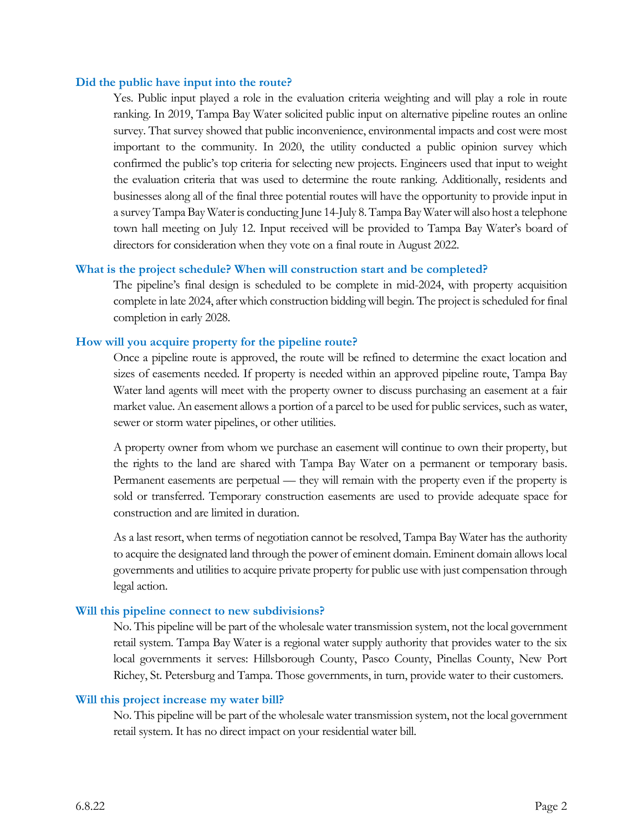#### **Did the public have input into the route?**

Yes. Public input played a role in the evaluation criteria weighting and will play a role in route ranking. In 2019, Tampa Bay Water solicited public input on alternative pipeline routes an online survey. That survey showed that public inconvenience, environmental impacts and cost were most important to the community. In 2020, the utility conducted a public opinion survey which confirmed the public's top criteria for selecting new projects. Engineers used that input to weight the evaluation criteria that was used to determine the route ranking. Additionally, residents and businesses along all of the final three potential routes will have the opportunity to provide input in a survey Tampa Bay Water is conducting June 14-July 8. Tampa Bay Water will also host a telephone town hall meeting on July 12. Input received will be provided to Tampa Bay Water's board of directors for consideration when they vote on a final route in August 2022.

#### **What is the project schedule? When will construction start and be completed?**

The pipeline's final design is scheduled to be complete in mid-2024, with property acquisition complete in late 2024, after which construction bidding will begin. The project is scheduled for final completion in early 2028.

#### **How will you acquire property for the pipeline route?**

Once a pipeline route is approved, the route will be refined to determine the exact location and sizes of easements needed. If property is needed within an approved pipeline route, Tampa Bay Water land agents will meet with the property owner to discuss purchasing an easement at a fair market value. An easement allows a portion of a parcel to be used for public services, such as water, sewer or storm water pipelines, or other utilities.

A property owner from whom we purchase an easement will continue to own their property, but the rights to the land are shared with Tampa Bay Water on a permanent or temporary basis. Permanent easements are perpetual — they will remain with the property even if the property is sold or transferred. Temporary construction easements are used to provide adequate space for construction and are limited in duration.

As a last resort, when terms of negotiation cannot be resolved, Tampa Bay Water has the authority to acquire the designated land through the power of eminent domain. Eminent domain allows local governments and utilities to acquire private property for public use with just compensation through legal action.

#### **Will this pipeline connect to new subdivisions?**

No. This pipeline will be part of the wholesale water transmission system, not the local government retail system. Tampa Bay Water is a regional water supply authority that provides water to the six local governments it serves: Hillsborough County, Pasco County, Pinellas County, New Port Richey, St. Petersburg and Tampa. Those governments, in turn, provide water to their customers.

#### **Will this project increase my water bill?**

No. This pipeline will be part of the wholesale water transmission system, not the local government retail system. It has no direct impact on your residential water bill.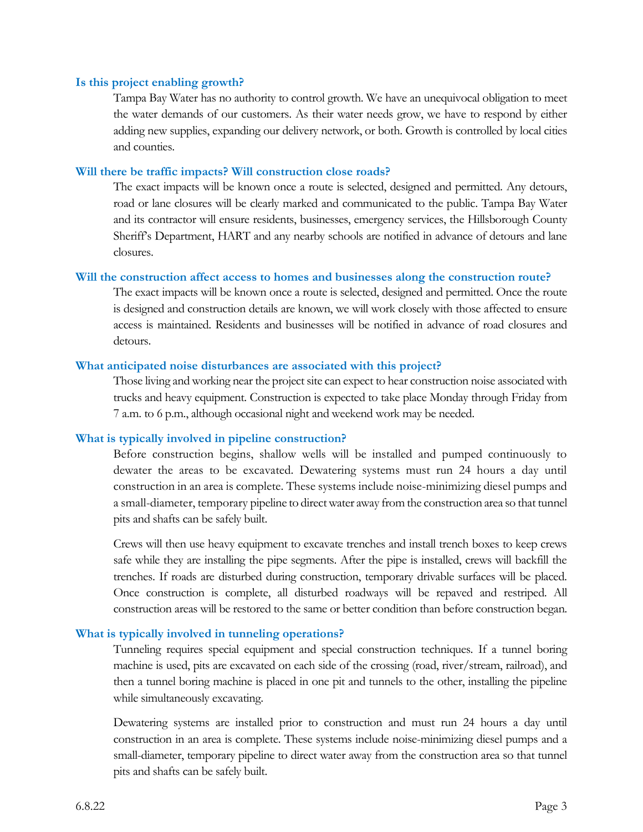#### **Is this project enabling growth?**

Tampa Bay Water has no authority to control growth. We have an unequivocal obligation to meet the water demands of our customers. As their water needs grow, we have to respond by either adding new supplies, expanding our delivery network, or both. Growth is controlled by local cities and counties.

#### **Will there be traffic impacts? Will construction close roads?**

The exact impacts will be known once a route is selected, designed and permitted. Any detours, road or lane closures will be clearly marked and communicated to the public. Tampa Bay Water and its contractor will ensure residents, businesses, emergency services, the Hillsborough County Sheriff's Department, HART and any nearby schools are notified in advance of detours and lane closures.

#### **Will the construction affect access to homes and businesses along the construction route?**

The exact impacts will be known once a route is selected, designed and permitted. Once the route is designed and construction details are known, we will work closely with those affected to ensure access is maintained. Residents and businesses will be notified in advance of road closures and detours.

#### **What anticipated noise disturbances are associated with this project?**

Those living and working near the project site can expect to hear construction noise associated with trucks and heavy equipment. Construction is expected to take place Monday through Friday from 7 a.m. to 6 p.m., although occasional night and weekend work may be needed.

#### **What is typically involved in pipeline construction?**

Before construction begins, shallow wells will be installed and pumped continuously to dewater the areas to be excavated. Dewatering systems must run 24 hours a day until construction in an area is complete. These systems include noise-minimizing diesel pumps and a small-diameter, temporary pipeline to direct water away from the construction area so that tunnel pits and shafts can be safely built.

Crews will then use heavy equipment to excavate trenches and install trench boxes to keep crews safe while they are installing the pipe segments. After the pipe is installed, crews will backfill the trenches. If roads are disturbed during construction, temporary drivable surfaces will be placed. Once construction is complete, all disturbed roadways will be repaved and restriped. All construction areas will be restored to the same or better condition than before construction began.

#### **What is typically involved in tunneling operations?**

Tunneling requires special equipment and special construction techniques. If a tunnel boring machine is used, pits are excavated on each side of the crossing (road, river/stream, railroad), and then a tunnel boring machine is placed in one pit and tunnels to the other, installing the pipeline while simultaneously excavating.

Dewatering systems are installed prior to construction and must run 24 hours a day until construction in an area is complete. These systems include noise-minimizing diesel pumps and a small-diameter, temporary pipeline to direct water away from the construction area so that tunnel pits and shafts can be safely built.